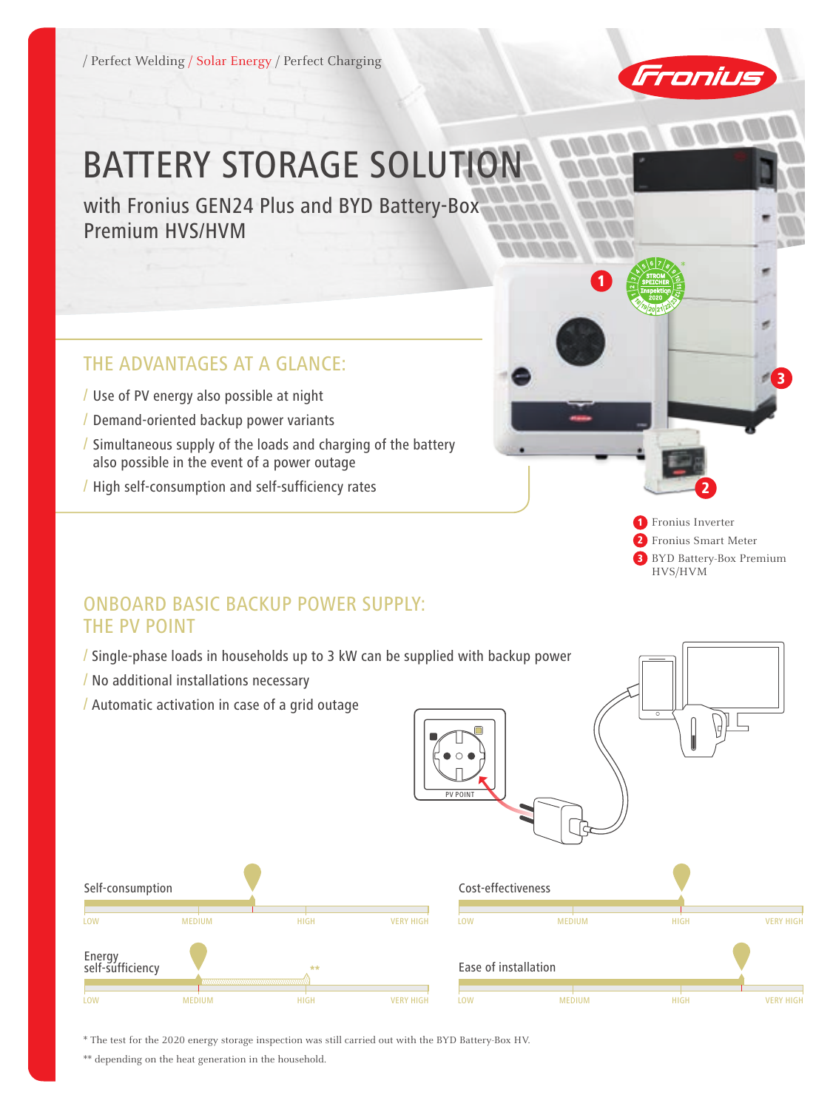/ Perfect Welding / Solar Energy / Perfect Charging



\*

1

# BATTERY STORAGE SOLUTION

with Fronius GEN24 Plus and BYD Battery-Box Premium HVS/HVM

## the advantages at a glance:

- / Use of PV energy also possible at night
- / Demand-oriented backup power variants
- / Simultaneous supply of the loads and charging of the battery also possible in the event of a power outage
- / High self-consumption and self-sufficiency rates

1 Fronius Inverter 2 Fronius Smart Meter **3** BYD Battery-Box Premium HVS/HVM

2

3

## ONBOARD BASIC BACKUP POWER SUPPLY: the PV Point

- / Single-phase loads in households up to 3 kW can be supplied with backup power
- / No additional installations necessary
- / Automatic activation in case of a grid outage



\* The test for the 2020 energy storage inspection was still carried out with the BYD Battery-Box HV.

\*\* depending on the heat generation in the household.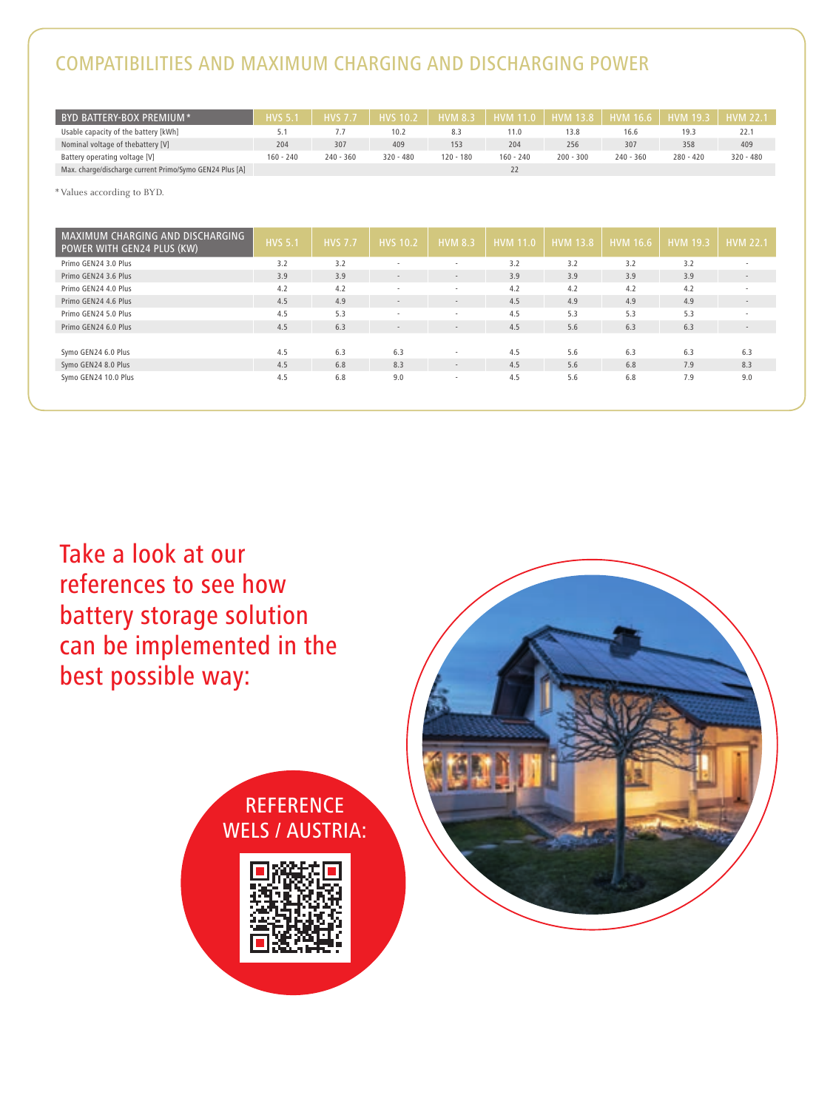# compatibilities and maximum charging and discharging power

| BYD BATTERY-BOX PREMIUM *                               | <b>HVS 5.1</b> | <b>HVS 7.7</b> | <b>HVS 10.2</b> | <b>HVM 8.3</b> | <b>HVM 11.0</b> | <b>HVM</b> 13.8 | $\parallel$ HVM 16.6 | $HVM$ 19.3  | <b>HVM 22.1</b> |
|---------------------------------------------------------|----------------|----------------|-----------------|----------------|-----------------|-----------------|----------------------|-------------|-----------------|
| Usable capacity of the battery [kWh]                    |                |                | 10.2            | 8.3            | 11.0            | 13.8            | 16.6                 | 19.3        | 22.1            |
| Nominal voltage of thebattery [V]                       | 204            | 307            | 409             | 153            | 204             | 256             | 307                  | 358         | 409             |
| Battery operating voltage [V]                           | $160 - 240$    | $240 - 360$    | $320 - 480$     | $120 - 180$    | $160 - 240$     | $200 - 300$     | $240 - 360$          | $280 - 420$ | $320 - 480$     |
| Max. charge/discharge current Primo/Symo GEN24 Plus [A] |                |                |                 |                |                 |                 |                      |             |                 |

\*Values according to BYD.

| MAXIMUM CHARGING AND DISCHARGING<br>POWER WITH GEN24 PLUS (KW) | <b>HVS 5.1</b> | <b>HVS 7.7</b> | <b>HVS</b> 10.2          | <b>HVM 8.3</b> | <b>HVM</b> 11.0 | <b>HVM 13.8</b> | <b>HVM 16.6</b> | <b>HVM 19.3</b> | <b>HVM 22.1</b>          |
|----------------------------------------------------------------|----------------|----------------|--------------------------|----------------|-----------------|-----------------|-----------------|-----------------|--------------------------|
| Primo GEN24 3.0 Plus                                           | 3.2            | 3.2            | $\sim$                   | ×.             | 3.2             | 3.2             | 3.2             | 3.2             | $\mathbf{r}$             |
| Primo GEN24 3.6 Plus                                           | 3.9            | 3.9            | $\overline{\phantom{a}}$ | $\sim$         | 3.9             | 3.9             | 3.9             | 3.9             | $\overline{\phantom{a}}$ |
| Primo GEN24 4.0 Plus                                           | 4.2            | 4.2            | ۰.                       | $\sim$         | 4.2             | 4.2             | 4.2             | 4.2             | $\sim$                   |
| Primo GEN24 4.6 Plus                                           | 4.5            | 4.9            | $\overline{\phantom{a}}$ | $\sim$         | 4.5             | 4.9             | 4.9             | 4.9             | $\sim$                   |
| Primo GEN24 5.0 Plus                                           | 4.5            | 5.3            | ۰.                       | ٠              | 4.5             | 5.3             | 5.3             | 5.3             | ٠                        |
| Primo GEN24 6.0 Plus                                           | 4.5            | 6.3            | $\overline{\phantom{a}}$ | $\sim$         | 4.5             | 5.6             | 6.3             | 6.3             | $\overline{\phantom{a}}$ |
|                                                                |                |                |                          |                |                 |                 |                 |                 |                          |
| Symo GEN24 6.0 Plus                                            | 4.5            | 6.3            | 6.3                      | $\sim$         | 4.5             | 5.6             | 6.3             | 6.3             | 6.3                      |
| Symo GEN24 8.0 Plus                                            | 4.5            | 6.8            | 8.3                      | $\sim$         | 4.5             | 5.6             | 6.8             | 7.9             | 8.3                      |
| Symo GEN24 10.0 Plus                                           | 4.5            | 6.8            | 9.0                      | $\sim$         | 4.5             | 5.6             | 6.8             | 7.9             | 9.0                      |
|                                                                |                |                |                          |                |                 |                 |                 |                 |                          |

Take a look at our references to see how battery storage solution can be implemented in the best possible way:



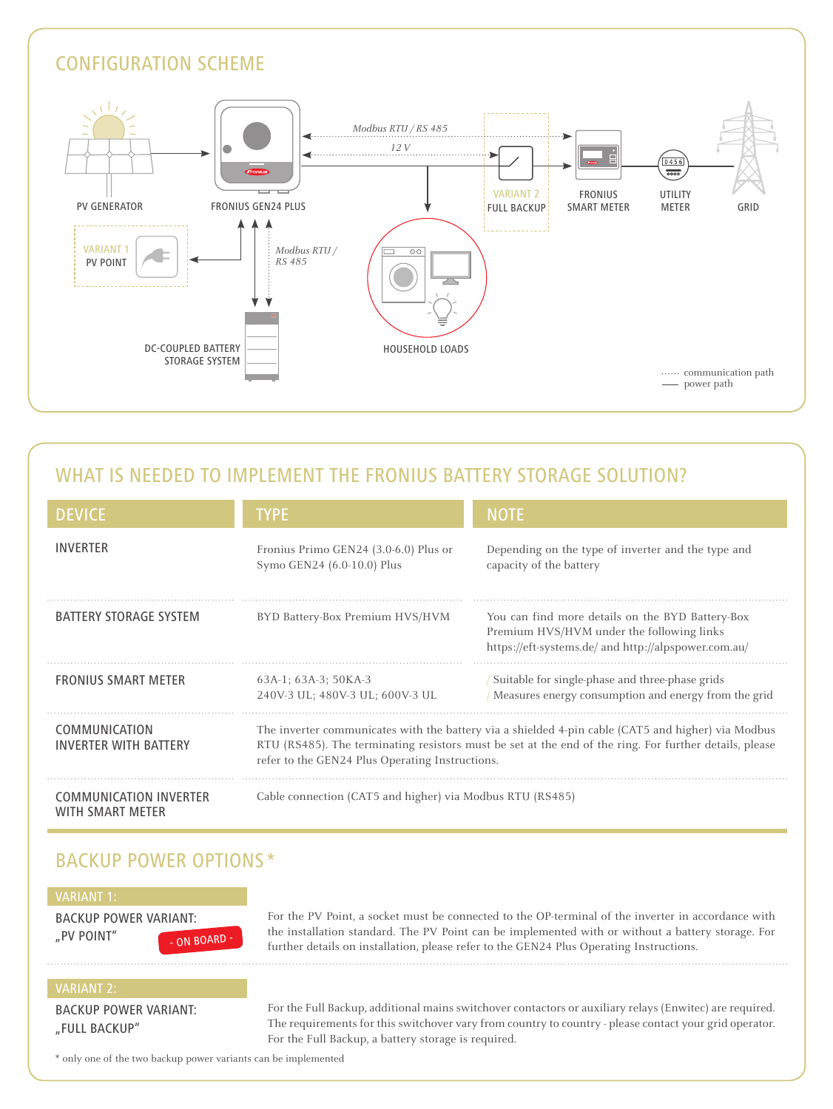

## WHAT IS NEEDED TO IMPLEMENT THE FRONIUS BATTERY STORAGE SOLUTION?

| <b>DEVICE</b>                                            | <b>TYPE</b>                                                         | <b>NOTE</b>                                                                                                                                                                                                  |
|----------------------------------------------------------|---------------------------------------------------------------------|--------------------------------------------------------------------------------------------------------------------------------------------------------------------------------------------------------------|
| <b>INVERTER</b>                                          | Fronius Primo GEN24 (3.0-6.0) Plus or<br>Symo GEN24 (6.0-10.0) Plus | Depending on the type of inverter and the type and<br>capacity of the battery                                                                                                                                |
| <b>BATTERY STORAGE SYSTEM</b>                            | BYD Battery-Box Premium HVS/HVM                                     | You can find more details on the BYD Battery-Box<br>Premium HVS/HVM under the following links<br>https://eft-systems.de/ and http://alpspower.com.au/                                                        |
| <b>FRONIUS SMART METER</b>                               | 63A-1; 63A-3; 50KA-3<br>240V-3 UL; 480V-3 UL; 600V-3 UL             | Suitable for single-phase and three-phase grids<br>/ Measures energy consumption and energy from the grid                                                                                                    |
| COMMUNICATION<br><b>INVERTER WITH BATTERY</b>            | refer to the GEN24 Plus Operating Instructions.                     | The inverter communicates with the battery via a shielded 4-pin cable (CAT5 and higher) via Modbus<br>RTU (RS485). The terminating resistors must be set at the end of the ring. For further details, please |
| <b>COMMUNICATION INVERTER</b><br><b>WITH SMART METER</b> | Cable connection (CAT5 and higher) via Modbus RTU (RS485)           |                                                                                                                                                                                                              |

## BACKUP POWER OPTIONS<sup>\*</sup>

|  |  |  | VARIANT 1: |
|--|--|--|------------|
|  |  |  |            |

Backup power variant: ", PV POINT" - ON BOARD - For the PV Point, a socket must be connected to the OP-terminal of the inverter in accordance with the installation standard. The PV Point can be implemented with or without a battery storage. For further details on installation, please refer to the GEN24 Plus Operating Instructions.

#### VARIANT 2:

Backup power variant: "Full BackUp"

For the Full Backup, additional mains switchover contactors or auxiliary relays (Enwitec) are required. The requirements for this switchover vary from country to country - please contact your grid operator. For the Full Backup, a battery storage is required.

\* only one of the two backup power variants can be implemented